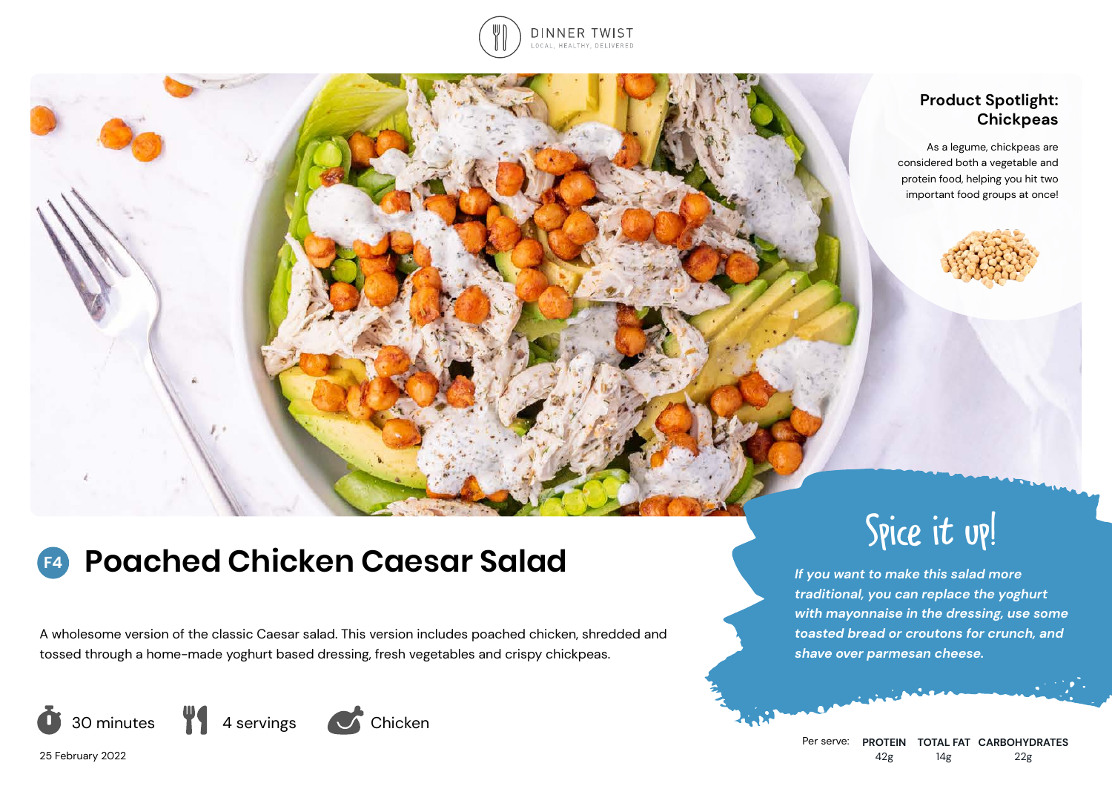

# **Product Spotlight: Chickpeas**

As a legume, chickpeas are considered both a vegetable and protein food, helping you hit two important food groups at once!



A wholesome version of the classic Caesar salad. This version includes poached chicken, shredded and tossed through a home-made yoghurt based dressing, fresh vegetables and crispy chickpeas.







25 February 2022



*If you want to make this salad more traditional, you can replace the yoghurt with mayonnaise in the dressing, use some toasted bread or croutons for crunch, and shave over parmesan cheese.*